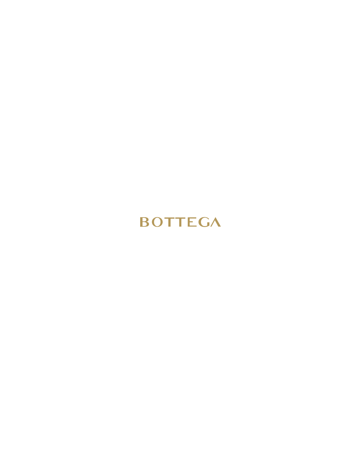## **BOTTEGA**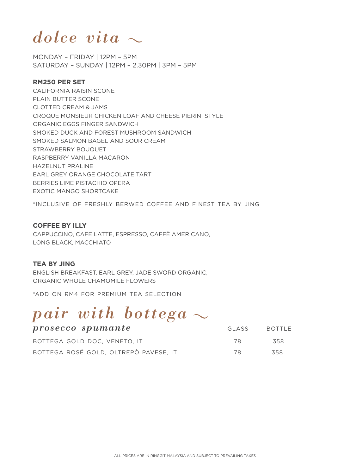## *dolce vita*

MONDAY – FRIDAY | 12PM – 5PM SATURDAY – SUNDAY | 12PM – 2.30PM | 3PM – 5PM

#### **RM250 PER SET**

CALIFORNIA RAISIN SCONE PLAIN BUTTER SCONE CLOTTED CREAM & JAMS CROQUE MONSIEUR CHICKEN LOAF AND CHEESE PIERINI STYLE ORGANIC EGGS FINGER SANDWICH SMOKED DUCK AND FOREST MUSHROOM SANDWICH SMOKED SALMON BAGEL AND SOUR CREAM STRAWBERRY BOUQUET RASPBERRY VANILLA MACARON HAZELNUT PRALINE EARL GREY ORANGE CHOCOLATE TART BERRIES LIME PISTACHIO OPERA EXOTIC MANGO SHORTCAKE

\*INCLUSIVE OF FRESHLY BERWED COFFEE AND FINEST TEA BY JING

#### **COFFEE BY ILLY**

CAPPUCCINO, CAFE LATTE, ESPRESSO, CAFFÈ AMERICANO, LONG BLACK, MACCHIATO

#### **TEA BY JING**

ENGLISH BREAKFAST, EARL GREY, JADE SWORD ORGANIC, ORGANIC WHOLE CHAMOMILE FLOWERS

\*ADD ON RM4 FOR PREMIUM TEA SELECTION

## *pair with bottega*

| prosecco spumante                     | GI ASS | BOTTLE |
|---------------------------------------|--------|--------|
| BOTTEGA GOLD DOC. VENETO. IT          | 78     | 358    |
| BOTTEGA ROSÉ GOLD, OLTREPÒ PAVESE, IT | 78     | 358    |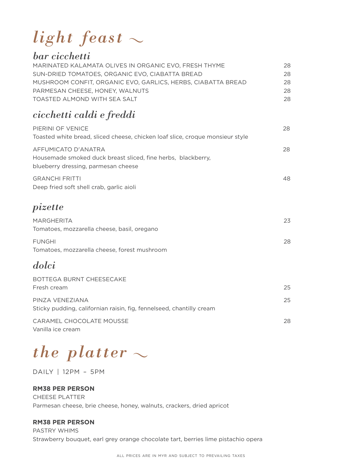# *light feast*

### *bar cicchetti*

| MARINATED KALAMATA OLIVES IN ORGANIC EVO. FRESH THYME        | 28. |
|--------------------------------------------------------------|-----|
| SUN-DRIED TOMATOES, ORGANIC EVO, CIABATTA BREAD              | 28  |
| MUSHROOM CONFIT, ORGANIC EVO, GARLICS, HERBS, CIABATTA BREAD | 28. |
| PARMESAN CHEESE, HONEY, WALNUTS                              | 28. |
| TOASTED ALMOND WITH SEA SALT                                 | 28. |

### *cicchetti caldi e freddi*

| PIERINI OF VENICE<br>Toasted white bread, sliced cheese, chicken loaf slice, croque monsieur style                         | 28 |
|----------------------------------------------------------------------------------------------------------------------------|----|
| AFFUMICATO D'ANATRA<br>Housemade smoked duck breast sliced, fine herbs, blackberry,<br>blueberry dressing, parmesan cheese | 28 |
| <b>GRANCHI FRITTI</b><br>Deep fried soft shell crab, garlic aioli                                                          | 48 |
| pizette                                                                                                                    |    |
| <b>MARGHERITA</b><br>Tomatoes, mozzarella cheese, basil, oregano                                                           | 23 |
| <b>FUNGHI</b><br>Tomatoes, mozzarella cheese, forest mushroom                                                              | 28 |
| dolci                                                                                                                      |    |
| <b>BOTTEGA BURNT CHEESECAKE</b><br>Fresh cream                                                                             | 25 |
| PINZA VENEZIANA<br>Sticky pudding, californian raisin, fig, fennelseed, chantilly cream                                    | 25 |
| <b>CARAMEL CHOCOLATE MOUSSE</b><br>Vanilla ice cream                                                                       | 28 |

*the platter*

DAILY | 12PM – 5PM

#### **RM38 PER PERSON**

CHEESE PLATTER Parmesan cheese, brie cheese, honey, walnuts, crackers, dried apricot

#### **RM38 PER PERSON**

PASTRY WHIMS Strawberry bouquet, earl grey orange chocolate tart, berries lime pistachio opera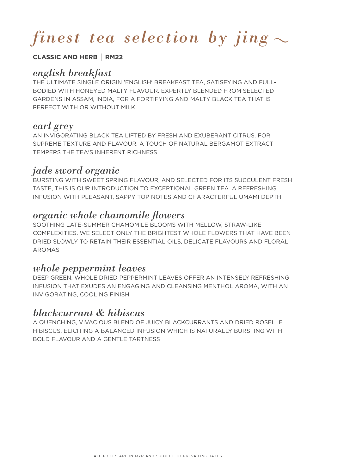# *finest tea selection by jing*

#### **CLASSIC AND HERB** │ **RM22**

### *english breakfast*

THE ULTIMATE SINGLE ORIGIN 'ENGLISH' BREAKFAST TEA, SATISFYING AND FULL-BODIED WITH HONEYED MALTY FLAVOUR. EXPERTLY BLENDED FROM SELECTED GARDENS IN ASSAM, INDIA, FOR A FORTIFYING AND MALTY BLACK TEA THAT IS PERFECT WITH OR WITHOUT MILK

#### *earl grey*

AN INVIGORATING BLACK TEA LIFTED BY FRESH AND EXUBERANT CITRUS. FOR SUPREME TEXTURE AND FLAVOUR, A TOUCH OF NATURAL BERGAMOT EXTRACT TEMPERS THE TEA'S INHERENT RICHNESS

#### *jade sword organic*

BURSTING WITH SWEET SPRING FLAVOUR, AND SELECTED FOR ITS SUCCULENT FRESH TASTE, THIS IS OUR INTRODUCTION TO EXCEPTIONAL GREEN TEA. A REFRESHING INFUSION WITH PLEASANT, SAPPY TOP NOTES AND CHARACTERFUL UMAMI DEPTH

### *organic whole chamomile flowers*

SOOTHING LATE-SUMMER CHAMOMILE BLOOMS WITH MELLOW, STRAW-LIKE COMPLEXITIES. WE SELECT ONLY THE BRIGHTEST WHOLE FLOWERS THAT HAVE BEEN DRIED SLOWLY TO RETAIN THEIR ESSENTIAL OILS, DELICATE FLAVOURS AND FLORAL AROMAS

### *whole peppermint leaves*

DEEP GREEN, WHOLE DRIED PEPPERMINT LEAVES OFFER AN INTENSELY REFRESHING INFUSION THAT EXUDES AN ENGAGING AND CLEANSING MENTHOL AROMA, WITH AN INVIGORATING, COOLING FINISH

### *blackcurrant & hibiscus*

A QUENCHING, VIVACIOUS BLEND OF JUICY BLACKCURRANTS AND DRIED ROSELLE HIBISCUS, ELICITING A BALANCED INFUSION WHICH IS NATURALLY BURSTING WITH BOLD FLAVOUR AND A GENTLE TARTNESS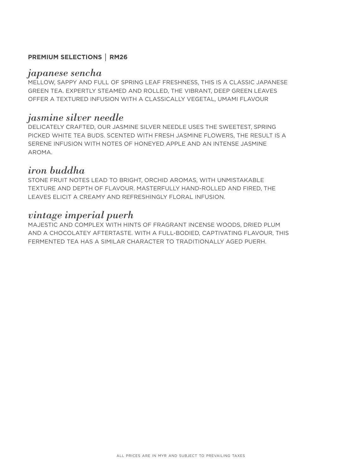#### **PREMIUM SELECTIONS** │ **RM26**

#### *japanese sencha*

MELLOW, SAPPY AND FULL OF SPRING LEAF FRESHNESS, THIS IS A CLASSIC JAPANESE GREEN TEA. EXPERTLY STEAMED AND ROLLED, THE VIBRANT, DEEP GREEN LEAVES OFFER A TEXTURED INFUSION WITH A CLASSICALLY VEGETAL, UMAMI FLAVOUR

#### *jasmine silver needle*

DELICATELY CRAFTED, OUR JASMINE SILVER NEEDLE USES THE SWEETEST, SPRING PICKED WHITE TEA BUDS. SCENTED WITH FRESH JASMINE FLOWERS, THE RESULT IS A SERENE INFUSION WITH NOTES OF HONEYED APPLE AND AN INTENSE JASMINE AROMA.

### *iron buddha*

STONE FRUIT NOTES LEAD TO BRIGHT, ORCHID AROMAS, WITH UNMISTAKABLE TEXTURE AND DEPTH OF FLAVOUR. MASTERFULLY HAND-ROLLED AND FIRED, THE LEAVES ELICIT A CREAMY AND REFRESHINGLY FLORAL INFUSION.

### *vintage imperial puerh*

MAJESTIC AND COMPLEX WITH HINTS OF FRAGRANT INCENSE WOODS, DRIED PLUM AND A CHOCOLATEY AFTERTASTE. WITH A FULL-BODIED, CAPTIVATING FLAVOUR, THIS FERMENTED TEA HAS A SIMILAR CHARACTER TO TRADITIONALLY AGED PUERH.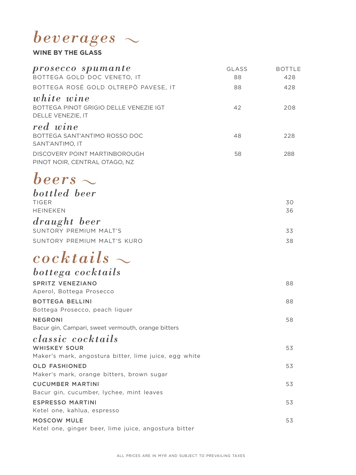## *beverages*

#### **WINE BY THE GLASS**

| prosecco spumante<br>BOTTEGA GOLD DOC VENETO, IT                          | GLASS<br>88 | <b>BOTTLE</b><br>428 |
|---------------------------------------------------------------------------|-------------|----------------------|
| BOTTEGA ROSÉ GOLD OLTREPÒ PAVESE, IT                                      | 88          | 428                  |
| white wine<br>BOTTEGA PINOT GRIGIO DELLE VENEZIE IGT<br>DELLE VENEZIE, IT | 42          | 208                  |
| red wine<br>BOTTEGA SANT'ANTIMO ROSSO DOC<br>SANT'ANTIMO. IT              | 48          | 228                  |
| DISCOVERY POINT MARTINBOROUGH<br>PINOT NOIR, CENTRAL OTAGO, NZ            | 58          | 288                  |

## *beers*

| bottled beer                |     |
|-----------------------------|-----|
| <b>TIGFR</b>                | 30. |
| <b>HEINEKEN</b>             | 36  |
| draught beer                |     |
| SUNTORY PREMIUM MALT'S      | 33  |
| SUNTORY PREMIUM MALT'S KURO | 38  |

## *cocktails bottega cocktails*

| pottega cocktails                                     |    |
|-------------------------------------------------------|----|
| SPRITZ VENEZIANO                                      | 88 |
| Aperol, Bottega Prosecco                              |    |
| <b>BOTTEGA BELLINI</b>                                | 88 |
| Bottega Prosecco, peach liquer                        |    |
| <b>NEGRONI</b>                                        | 58 |
| Bacur gin, Campari, sweet vermouth, orange bitters    |    |
| classic cocktails                                     |    |
| WHISKEY SOUR                                          | 53 |
| Maker's mark, angostura bitter, lime juice, egg white |    |
| OLD FASHIONED                                         | 53 |
| Maker's mark, orange bitters, brown sugar             |    |
| <b>CUCUMBER MARTINI</b>                               | 53 |
| Bacur gin, cucumber, lychee, mint leaves              |    |
| <b>ESPRESSO MARTINI</b>                               | 53 |
| Ketel one, kahlua, espresso                           |    |
| <b>MOSCOW MULE</b>                                    | 53 |
| Ketel one, ginger beer, lime juice, angostura bitter  |    |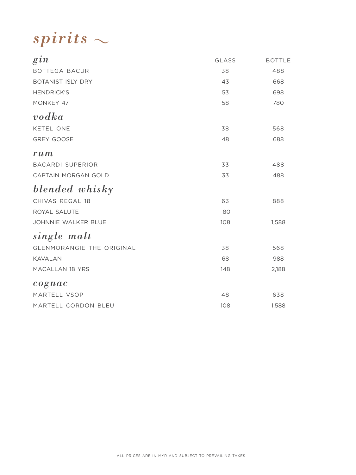*spirits*

| $g_{1n}$                         | GLASS | <b>BOTTLE</b> |
|----------------------------------|-------|---------------|
| BOTTEGA BACUR                    | 38    | 488           |
| <b>BOTANIST ISLY DRY</b>         | 43    | 668           |
| <b>HENDRICK'S</b>                | 53    | 698           |
| MONKEY 47                        | 58    | 780           |
| $\boldsymbol{v}$ odka            |       |               |
| KETEL ONE                        | 38    | 568           |
| <b>GREY GOOSE</b>                | 48    | 688           |
| rum                              |       |               |
| <b>BACARDI SUPERIOR</b>          | 33    | 488           |
| CAPTAIN MORGAN GOLD              | 33    | 488           |
| blended whisky                   |       |               |
| CHIVAS REGAL 18                  | 63    | 888           |
| ROYAL SALUTE                     | 80    |               |
| JOHNNIE WALKER BLUE              | 108   | 1,588         |
| single malt                      |       |               |
| <b>GLENMORANGIE THE ORIGINAL</b> | 38    | 568           |
| <b>KAVALAN</b>                   | 68    | 988           |
| MACALLAN 18 YRS                  | 148   | 2,188         |
| cognac                           |       |               |
| MARTELL VSOP                     | 48    | 638           |
| MARTELL CORDON BLEU              | 108   | 1,588         |